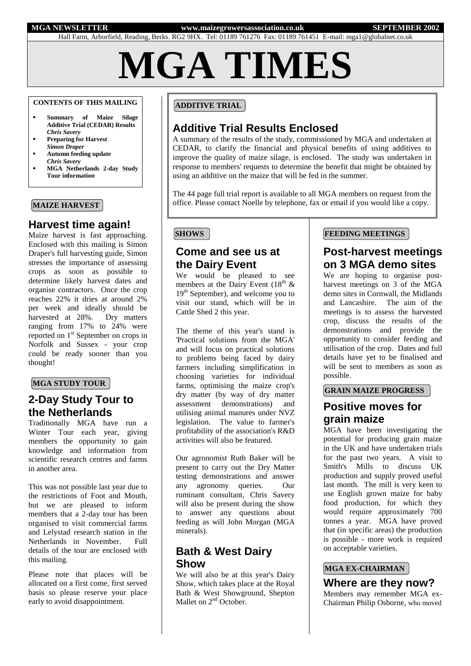#### **MGA NEWSLETTER www.maizegrowersassociation.co.uk SEPTEMBER 2002**

Hall Farm, Arborfield, Reading, Berks. RG2 9HX. Tel: 01189 761276 Fax: 01189 761451 E-mail: mga1@globalnet.co.uk

**MGA TIMES**

## **CONTENTS OF THIS MAILING**

- **Summary of Maize Silage Additive Trial (CEDAR) Results** *Chris Savery*
- **Preparing for Harvest** *Simon Draper*
- **Autumn feeding update** *Chris Savery*
- **MGA Netherlands 2-day Study Tour information**

## **MAIZE HARVEST**

## **Harvest time again!**

Maize harvest is fast approaching. Enclosed with this mailing is Simon Draper's full harvesting guide, Simon stresses the importance of assessing crops as soon as possible to determine likely harvest dates and organise contractors. Once the crop reaches 22% it dries at around 2% per week and ideally should be harvested at 28%. Dry matters ranging from 17% to 24% were reported on 1<sup>st</sup> September on crops in Norfolk and Sussex - your crop could be ready sooner than you thought!

### **MGA STUDY TOUR**

# **2-Day Study Tour to the Netherlands**

Traditionally MGA have run a Winter Tour each year, giving members the opportunity to gain knowledge and information from scientific research centres and farms in another area.

This was not possible last year due to the restrictions of Foot and Mouth, but we are pleased to inform members that a 2-day tour has been organised to visit commercial farms and Lelystad research station in the Netherlands in November. Full details of the tour are enclosed with this mailing.

Please note that places will be allocated on a first come, first served basis so please reserve your place early to avoid disappointment.

## **ADDITIVE TRIAL**

## **Additive Trial Results Enclosed**

A summary of the results of the study, commissioned by MGA and undertaken at CEDAR, to clarify the financial and physical benefits of using additives to improve the quality of maize silage, is enclosed. The study was undertaken in response to members' requests to determine the benefit that might be obtained by using an additive on the maize that will be fed in the summer.

The 44 page full trial report is available to all MGA members on request from the office. Please contact Noelle by telephone, fax or email if you would like a copy.

## **Come and see us at the Dairy Event**

We would be pleased to see members at the Dairy Event  $(18<sup>th</sup> \&$  $19<sup>th</sup>$  September), and welcome you to visit our stand, which will be in Cattle Shed 2 this year.

The theme of this year's stand is 'Practical solutions from the MGA' and will focus on practical solutions to problems being faced by dairy farmers including simplification in choosing varieties for individual farms, optimising the maize crop's dry matter (by way of dry matter assessment demonstrations) and utilising animal manures under NVZ legislation. The value to farmer's profitability of the association's R&D activities will also be featured.

Our agronomist Ruth Baker will be present to carry out the Dry Matter testing demonstrations and answer any agronomy queries. Our ruminant consultant, Chris Savery will also be present during the show to answer any questions about feeding as will John Morgan (MGA minerals).

## **Bath & West Dairy Show**

We will also be at this year's Dairy Show, which takes place at the Royal Bath & West Showground, Shepton Mallet on 2<sup>nd</sup> October.

## **SHOWS FEEDING MEETINGS**

# **Post-harvest meetings on 3 MGA demo sites**

We are hoping to organise postharvest meetings on 3 of the MGA demo sites in Cornwall, the Midlands and Lancashire. The aim of the meetings is to assess the harvested crop, discuss the results of the demonstrations and provide the opportunity to consider feeding and utilisation of the crop. Dates and full details have yet to be finalised and will be sent to members as soon as possible.

## **GRAIN MAIZE PROGRESS**

## **Positive moves for grain maize**

MGA have been investigating the potential for producing grain maize in the UK and have undertaken trials for the past two years. A visit to Smith's Mills to discuss UK production and supply proved useful last month. The mill is very keen to use English grown maize for baby food production, for which they would require approximately 700 tonnes a year. MGA have proved that (in specific areas) the production is possible - more work is required on acceptable varieties.

### **MGA EX-CHAIRMAN**

**Where are they now?** Members may remember MGA ex-Chairman Philip Osborne, who moved